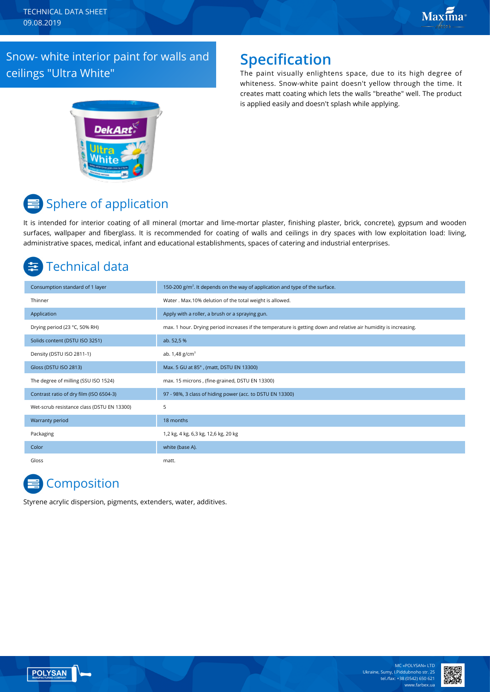### Snow- white interior paint for walls and ceilings "Ultra White"

### **Specification**

The paint visually enlightens space, due to its high degree of whiteness. Snow-white paint doesn't yellow through the time. It creates matt coating which lets the walls "breathe" well. The product is applied easily and doesn't splash while applying.



# Sphere of application

It is intended for interior coating of all mineral (mortar and lime-mortar plaster, finishing plaster, brick, concrete), gypsum and wooden surfaces, wallpaper and fiberglass. It is recommended for coating of walls and ceilings in dry spaces with low exploitation load: living, administrative spaces, medical, infant and educational establishments, spaces of catering and industrial enterprises.

# Technical data

| Consumption standard of 1 layer            | 150-200 $g/m2$ . It depends on the way of application and type of the surface.                                   |
|--------------------------------------------|------------------------------------------------------------------------------------------------------------------|
| Thinner                                    | Water . Max.10% delution of the total weight is allowed.                                                         |
| Application                                | Apply with a roller, a brush or a spraying gun.                                                                  |
| Drying period (23 °C, 50% RH)              | max. 1 hour. Drying period increases if the temperature is getting down and relative air humidity is increasing. |
| Solids content (DSTU ISO 3251)             | ab. 52,5 %                                                                                                       |
| Density (DSTU ISO 2811-1)                  | ab. $1,48$ g/cm <sup>3</sup>                                                                                     |
| Gloss (DSTU ISO 2813)                      | Max. 5 GU at 85°, (matt, DSTU EN 13300)                                                                          |
| The degree of milling (SSU ISO 1524)       | max. 15 microns, (fine-grained, DSTU EN 13300)                                                                   |
| Contrast ratio of dry film (ISO 6504-3)    | 97 - 98%, 3 class of hiding power (acc. to DSTU EN 13300)                                                        |
| Wet-scrub resistance class (DSTU EN 13300) | 5                                                                                                                |
| Warranty period                            | 18 months                                                                                                        |
| Packaging                                  | 1,2 kg, 4 kg, 6,3 kg, 12,6 kg, 20 kg                                                                             |
| Color                                      | white (base A).                                                                                                  |
| Gloss                                      | matt.                                                                                                            |

## **Composition**

Styrene acrylic dispersion, pigments, extenders, water, additives.